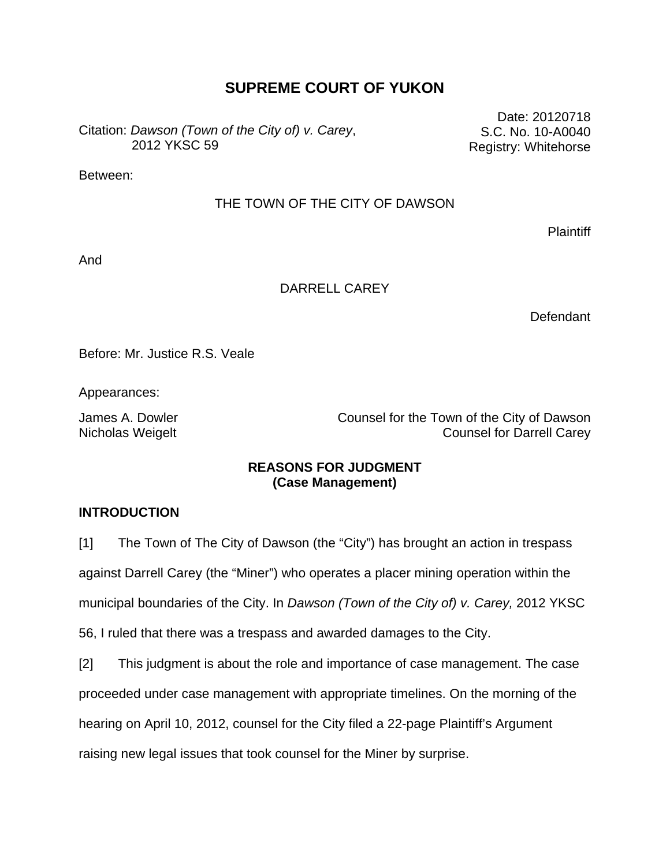# **SUPREME COURT OF YUKON**

Citation: *Dawson (Town of the City of) v. Carey*, 2012 YKSC 59

Date: 20120718 S.C. No. 10-A0040 Registry: Whitehorse

Between:

## THE TOWN OF THE CITY OF DAWSON

Plaintiff

And

## DARRELL CAREY

Defendant

Before: Mr. Justice R.S. Veale

Appearances:

James A. Dowler **Counsel for the Town of the City of Dawson** Nicholas Weigelt **Nicholas Weigelt** Counsel for Darrell Carey

# **REASONS FOR JUDGMENT (Case Management)**

# **INTRODUCTION**

[1] The Town of The City of Dawson (the "City") has brought an action in trespass against Darrell Carey (the "Miner") who operates a placer mining operation within the municipal boundaries of the City. In *Dawson (Town of the City of) v. Carey,* 2012 YKSC 56, I ruled that there was a trespass and awarded damages to the City.

[2] This judgment is about the role and importance of case management. The case proceeded under case management with appropriate timelines. On the morning of the hearing on April 10, 2012, counsel for the City filed a 22-page Plaintiff's Argument raising new legal issues that took counsel for the Miner by surprise.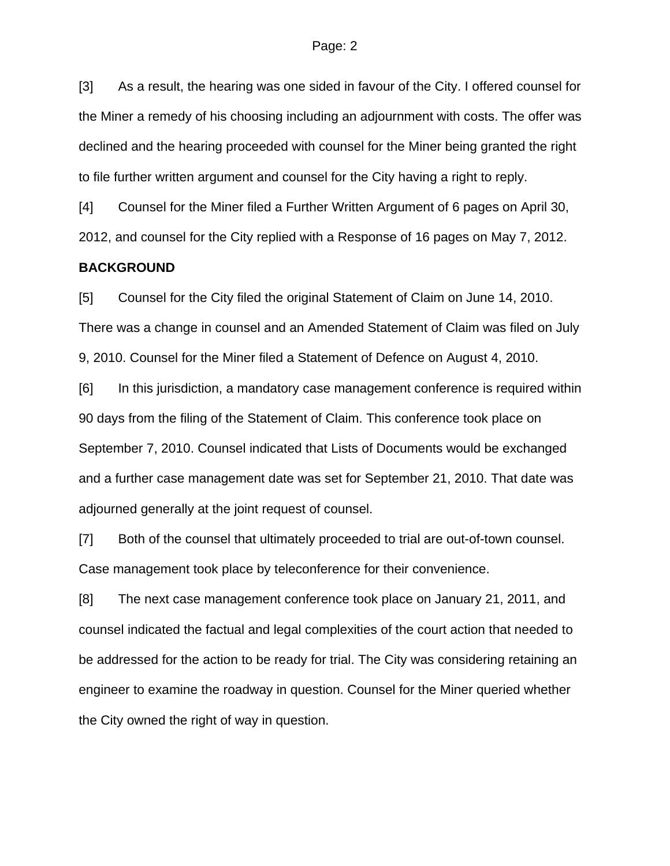[3] As a result, the hearing was one sided in favour of the City. I offered counsel for the Miner a remedy of his choosing including an adjournment with costs. The offer was declined and the hearing proceeded with counsel for the Miner being granted the right to file further written argument and counsel for the City having a right to reply.

[4] Counsel for the Miner filed a Further Written Argument of 6 pages on April 30, 2012, and counsel for the City replied with a Response of 16 pages on May 7, 2012.

#### **BACKGROUND**

[5] Counsel for the City filed the original Statement of Claim on June 14, 2010. There was a change in counsel and an Amended Statement of Claim was filed on July 9, 2010. Counsel for the Miner filed a Statement of Defence on August 4, 2010.

[6] In this jurisdiction, a mandatory case management conference is required within 90 days from the filing of the Statement of Claim. This conference took place on September 7, 2010. Counsel indicated that Lists of Documents would be exchanged and a further case management date was set for September 21, 2010. That date was adjourned generally at the joint request of counsel.

[7] Both of the counsel that ultimately proceeded to trial are out-of-town counsel. Case management took place by teleconference for their convenience.

[8] The next case management conference took place on January 21, 2011, and counsel indicated the factual and legal complexities of the court action that needed to be addressed for the action to be ready for trial. The City was considering retaining an engineer to examine the roadway in question. Counsel for the Miner queried whether the City owned the right of way in question.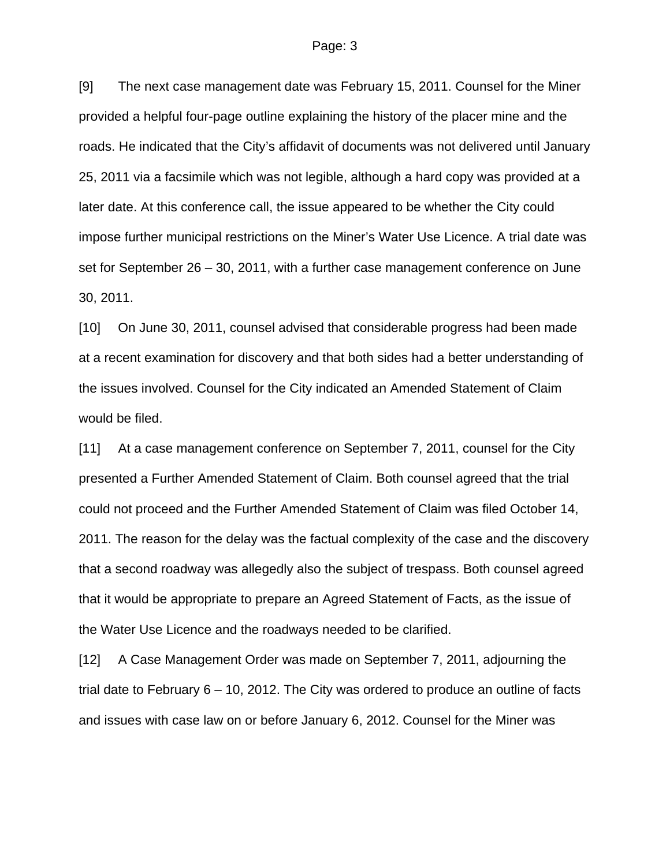[9] The next case management date was February 15, 2011. Counsel for the Miner provided a helpful four-page outline explaining the history of the placer mine and the roads. He indicated that the City's affidavit of documents was not delivered until January 25, 2011 via a facsimile which was not legible, although a hard copy was provided at a later date. At this conference call, the issue appeared to be whether the City could impose further municipal restrictions on the Miner's Water Use Licence. A trial date was set for September 26 – 30, 2011, with a further case management conference on June 30, 2011.

[10] On June 30, 2011, counsel advised that considerable progress had been made at a recent examination for discovery and that both sides had a better understanding of the issues involved. Counsel for the City indicated an Amended Statement of Claim would be filed.

[11] At a case management conference on September 7, 2011, counsel for the City presented a Further Amended Statement of Claim. Both counsel agreed that the trial could not proceed and the Further Amended Statement of Claim was filed October 14, 2011. The reason for the delay was the factual complexity of the case and the discovery that a second roadway was allegedly also the subject of trespass. Both counsel agreed that it would be appropriate to prepare an Agreed Statement of Facts, as the issue of the Water Use Licence and the roadways needed to be clarified.

[12] A Case Management Order was made on September 7, 2011, adjourning the trial date to February 6 – 10, 2012. The City was ordered to produce an outline of facts and issues with case law on or before January 6, 2012. Counsel for the Miner was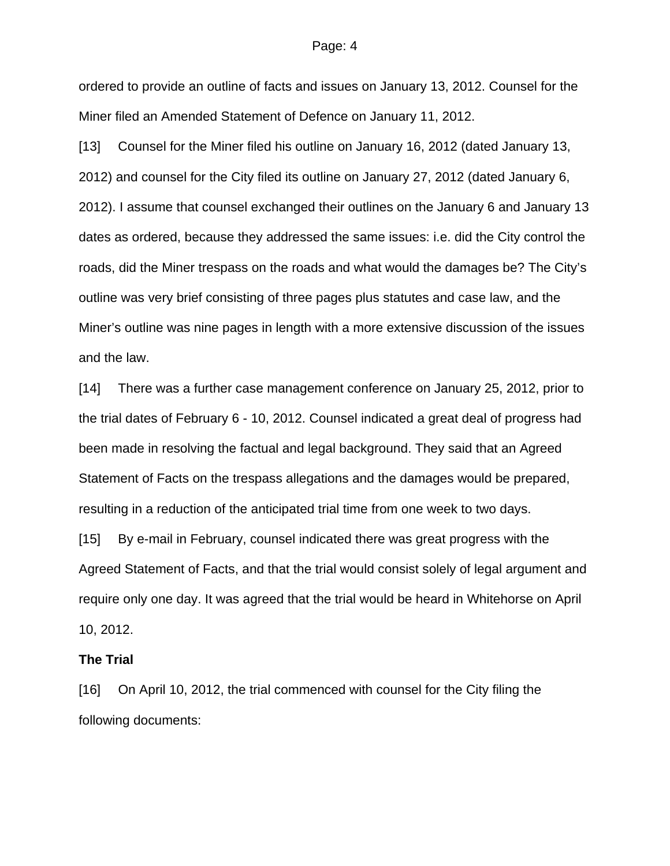ordered to provide an outline of facts and issues on January 13, 2012. Counsel for the Miner filed an Amended Statement of Defence on January 11, 2012.

[13] Counsel for the Miner filed his outline on January 16, 2012 (dated January 13, 2012) and counsel for the City filed its outline on January 27, 2012 (dated January 6, 2012). I assume that counsel exchanged their outlines on the January 6 and January 13 dates as ordered, because they addressed the same issues: i.e. did the City control the roads, did the Miner trespass on the roads and what would the damages be? The City's outline was very brief consisting of three pages plus statutes and case law, and the Miner's outline was nine pages in length with a more extensive discussion of the issues and the law.

[14] There was a further case management conference on January 25, 2012, prior to the trial dates of February 6 - 10, 2012. Counsel indicated a great deal of progress had been made in resolving the factual and legal background. They said that an Agreed Statement of Facts on the trespass allegations and the damages would be prepared, resulting in a reduction of the anticipated trial time from one week to two days.

[15] By e-mail in February, counsel indicated there was great progress with the Agreed Statement of Facts, and that the trial would consist solely of legal argument and require only one day. It was agreed that the trial would be heard in Whitehorse on April 10, 2012.

#### **The Trial**

[16] On April 10, 2012, the trial commenced with counsel for the City filing the following documents: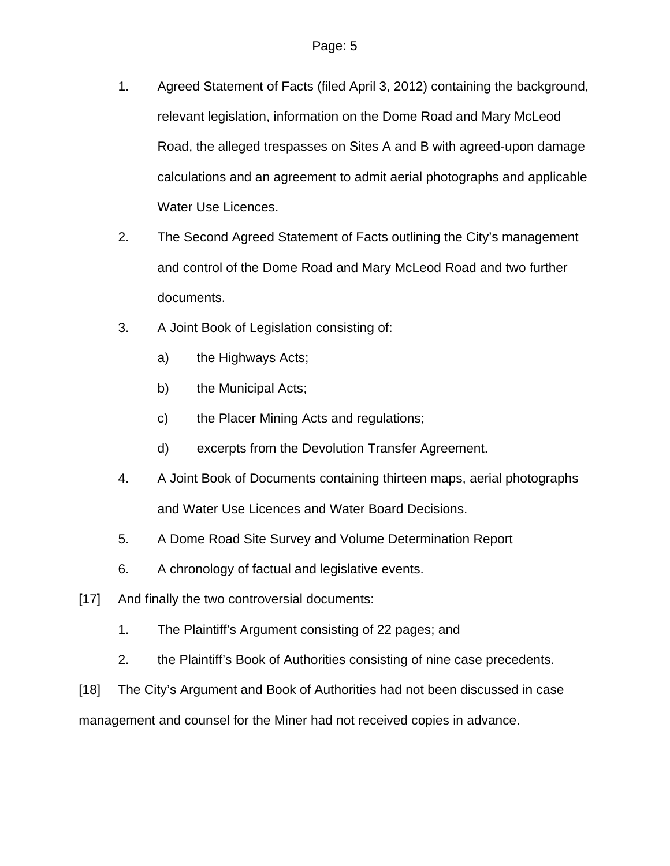- 1. Agreed Statement of Facts (filed April 3, 2012) containing the background, relevant legislation, information on the Dome Road and Mary McLeod Road, the alleged trespasses on Sites A and B with agreed-upon damage calculations and an agreement to admit aerial photographs and applicable Water Use Licences.
- 2. The Second Agreed Statement of Facts outlining the City's management and control of the Dome Road and Mary McLeod Road and two further documents.
- 3. A Joint Book of Legislation consisting of:
	- a) the Highways Acts;
	- b) the Municipal Acts;
	- c) the Placer Mining Acts and regulations;
	- d) excerpts from the Devolution Transfer Agreement.
- 4. A Joint Book of Documents containing thirteen maps, aerial photographs and Water Use Licences and Water Board Decisions.
- 5. A Dome Road Site Survey and Volume Determination Report
- 6. A chronology of factual and legislative events.
- [17] And finally the two controversial documents:
	- 1. The Plaintiff's Argument consisting of 22 pages; and
	- 2. the Plaintiff's Book of Authorities consisting of nine case precedents.
- [18] The City's Argument and Book of Authorities had not been discussed in case

management and counsel for the Miner had not received copies in advance.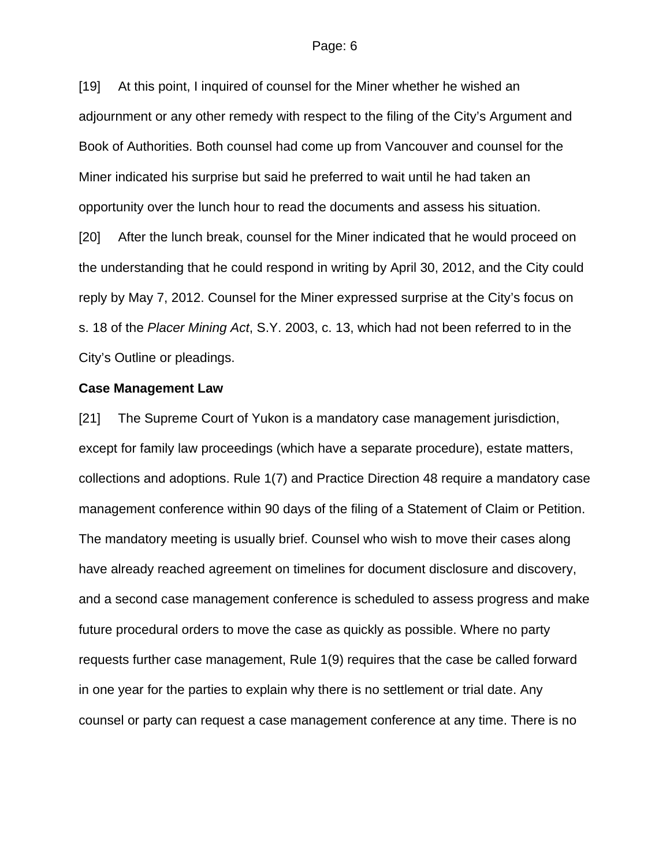[19] At this point, I inquired of counsel for the Miner whether he wished an adjournment or any other remedy with respect to the filing of the City's Argument and Book of Authorities. Both counsel had come up from Vancouver and counsel for the Miner indicated his surprise but said he preferred to wait until he had taken an opportunity over the lunch hour to read the documents and assess his situation. [20] After the lunch break, counsel for the Miner indicated that he would proceed on the understanding that he could respond in writing by April 30, 2012, and the City could reply by May 7, 2012. Counsel for the Miner expressed surprise at the City's focus on s. 18 of the *Placer Mining Act*, S.Y. 2003, c. 13, which had not been referred to in the City's Outline or pleadings.

#### **Case Management Law**

[21] The Supreme Court of Yukon is a mandatory case management jurisdiction, except for family law proceedings (which have a separate procedure), estate matters, collections and adoptions. Rule 1(7) and Practice Direction 48 require a mandatory case management conference within 90 days of the filing of a Statement of Claim or Petition. The mandatory meeting is usually brief. Counsel who wish to move their cases along have already reached agreement on timelines for document disclosure and discovery, and a second case management conference is scheduled to assess progress and make future procedural orders to move the case as quickly as possible. Where no party requests further case management, Rule 1(9) requires that the case be called forward in one year for the parties to explain why there is no settlement or trial date. Any counsel or party can request a case management conference at any time. There is no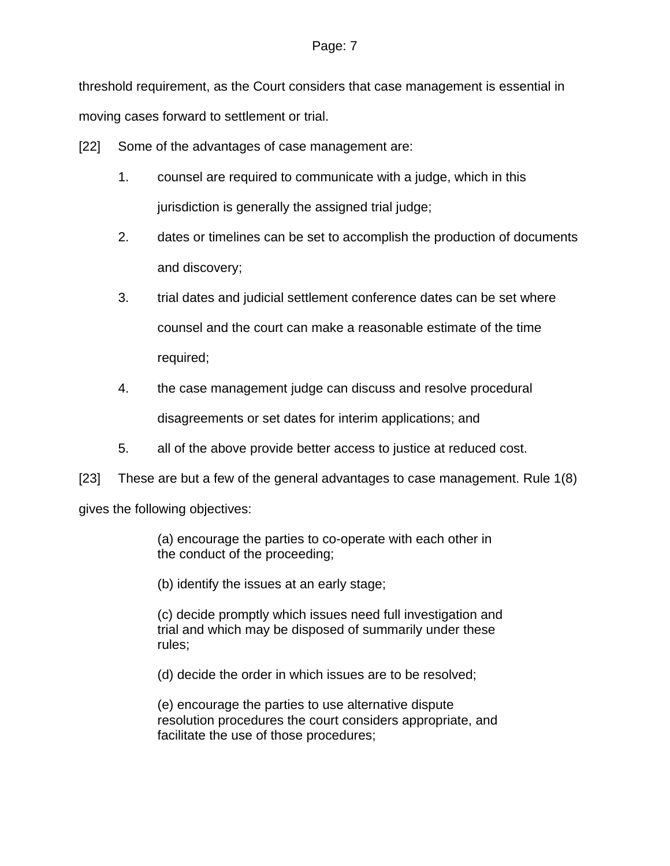threshold requirement, as the Court considers that case management is essential in moving cases forward to settlement or trial.

[22] Some of the advantages of case management are:

- 1. counsel are required to communicate with a judge, which in this jurisdiction is generally the assigned trial judge;
- 2. dates or timelines can be set to accomplish the production of documents and discovery;
- 3. trial dates and judicial settlement conference dates can be set where counsel and the court can make a reasonable estimate of the time required;
- 4. the case management judge can discuss and resolve procedural disagreements or set dates for interim applications; and
- 5. all of the above provide better access to justice at reduced cost.

[23] These are but a few of the general advantages to case management. Rule 1(8)

gives the following objectives:

(a) encourage the parties to co-operate with each other in the conduct of the proceeding;

(b) identify the issues at an early stage;

(c) decide promptly which issues need full investigation and trial and which may be disposed of summarily under these rules;

(d) decide the order in which issues are to be resolved;

(e) encourage the parties to use alternative dispute resolution procedures the court considers appropriate, and facilitate the use of those procedures;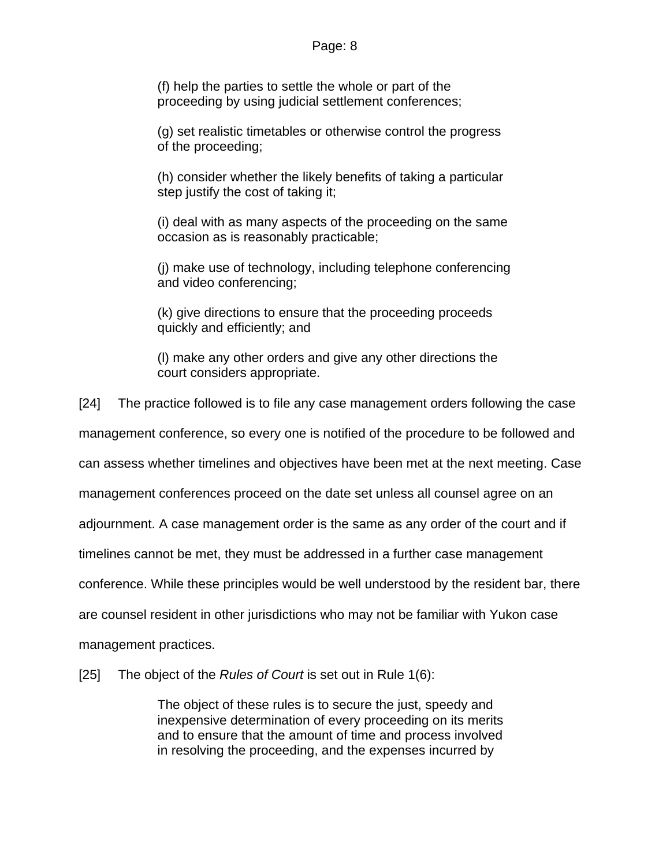(f) help the parties to settle the whole or part of the proceeding by using judicial settlement conferences;

(g) set realistic timetables or otherwise control the progress of the proceeding;

(h) consider whether the likely benefits of taking a particular step justify the cost of taking it;

(i) deal with as many aspects of the proceeding on the same occasion as is reasonably practicable;

(j) make use of technology, including telephone conferencing and video conferencing;

(k) give directions to ensure that the proceeding proceeds quickly and efficiently; and

(l) make any other orders and give any other directions the court considers appropriate.

[24] The practice followed is to file any case management orders following the case

management conference, so every one is notified of the procedure to be followed and

can assess whether timelines and objectives have been met at the next meeting. Case

management conferences proceed on the date set unless all counsel agree on an

adjournment. A case management order is the same as any order of the court and if

timelines cannot be met, they must be addressed in a further case management

conference. While these principles would be well understood by the resident bar, there

are counsel resident in other jurisdictions who may not be familiar with Yukon case

management practices.

[25] The object of the *Rules of Court* is set out in Rule 1(6):

The object of these rules is to secure the just, speedy and inexpensive determination of every proceeding on its merits and to ensure that the amount of time and process involved in resolving the proceeding, and the expenses incurred by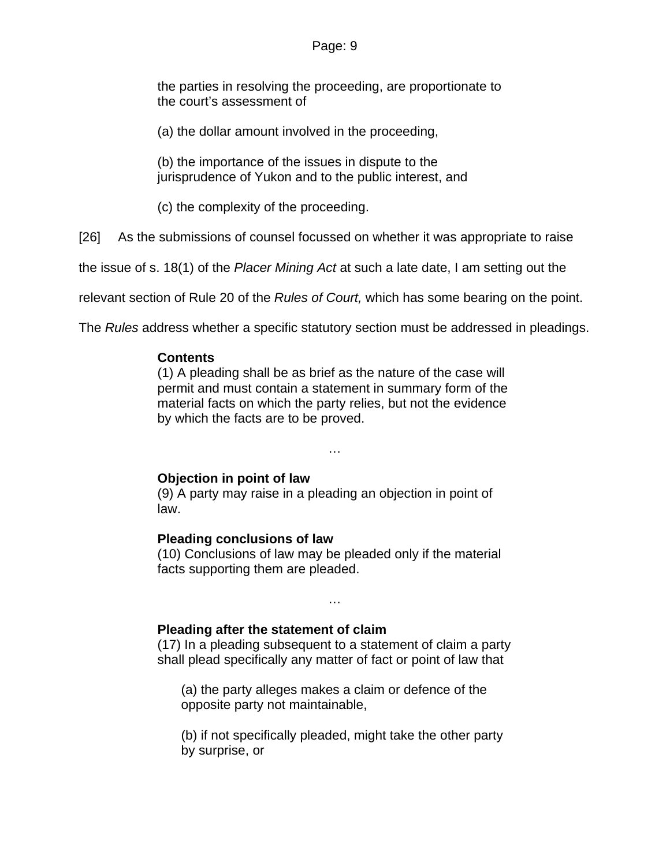the parties in resolving the proceeding, are proportionate to the court's assessment of

(a) the dollar amount involved in the proceeding,

(b) the importance of the issues in dispute to the jurisprudence of Yukon and to the public interest, and

(c) the complexity of the proceeding.

[26] As the submissions of counsel focussed on whether it was appropriate to raise

the issue of s. 18(1) of the *Placer Mining Act* at such a late date, I am setting out the

relevant section of Rule 20 of the *Rules of Court,* which has some bearing on the point.

The *Rules* address whether a specific statutory section must be addressed in pleadings.

### **Contents**

(1) A pleading shall be as brief as the nature of the case will permit and must contain a statement in summary form of the material facts on which the party relies, but not the evidence by which the facts are to be proved.

…

# **Objection in point of law**

(9) A party may raise in a pleading an objection in point of law.

### **Pleading conclusions of law**

(10) Conclusions of law may be pleaded only if the material facts supporting them are pleaded.

…

# **Pleading after the statement of claim**

(17) In a pleading subsequent to a statement of claim a party shall plead specifically any matter of fact or point of law that

(a) the party alleges makes a claim or defence of the opposite party not maintainable,

(b) if not specifically pleaded, might take the other party by surprise, or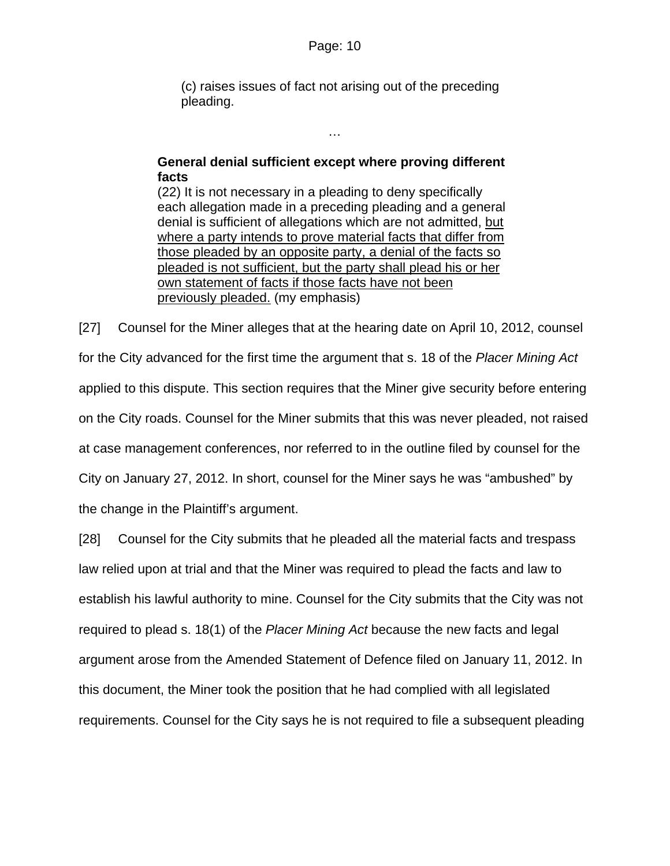(c) raises issues of fact not arising out of the preceding pleading.

# **General denial sufficient except where proving different facts**

…

(22) It is not necessary in a pleading to deny specifically each allegation made in a preceding pleading and a general denial is sufficient of allegations which are not admitted, but where a party intends to prove material facts that differ from those pleaded by an opposite party, a denial of the facts so pleaded is not sufficient, but the party shall plead his or her own statement of facts if those facts have not been previously pleaded. (my emphasis)

[27] Counsel for the Miner alleges that at the hearing date on April 10, 2012, counsel for the City advanced for the first time the argument that s. 18 of the *Placer Mining Act* applied to this dispute. This section requires that the Miner give security before entering on the City roads. Counsel for the Miner submits that this was never pleaded, not raised at case management conferences, nor referred to in the outline filed by counsel for the City on January 27, 2012. In short, counsel for the Miner says he was "ambushed" by the change in the Plaintiff's argument.

[28] Counsel for the City submits that he pleaded all the material facts and trespass law relied upon at trial and that the Miner was required to plead the facts and law to establish his lawful authority to mine. Counsel for the City submits that the City was not required to plead s. 18(1) of the *Placer Mining Act* because the new facts and legal argument arose from the Amended Statement of Defence filed on January 11, 2012. In this document, the Miner took the position that he had complied with all legislated requirements. Counsel for the City says he is not required to file a subsequent pleading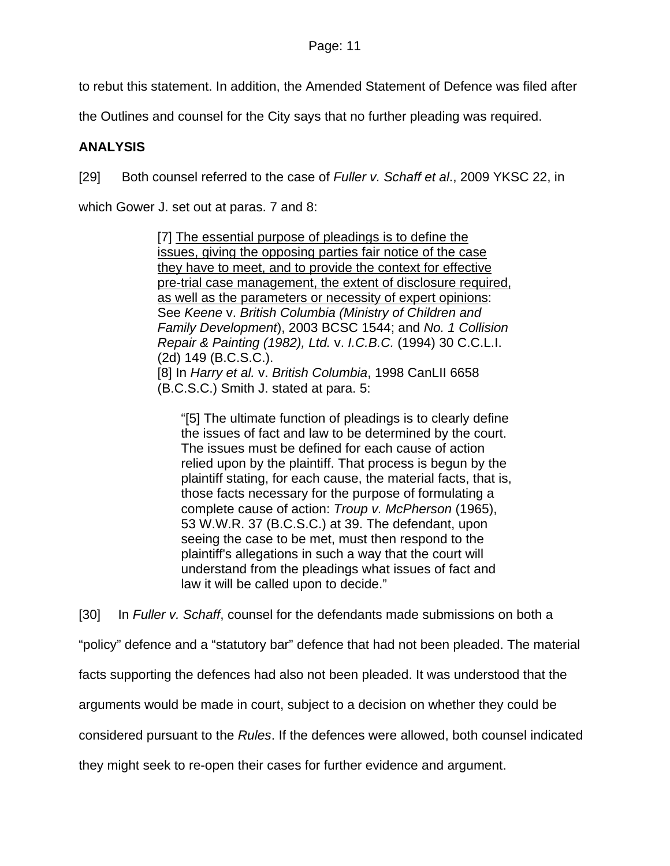to rebut this statement. In addition, the Amended Statement of Defence was filed after

the Outlines and counsel for the City says that no further pleading was required.

# **ANALYSIS**

[29] Both counsel referred to the case of *Fuller v. Schaff et al*., 2009 YKSC 22, in

which Gower J. set out at paras. 7 and 8:

[7] The essential purpose of pleadings is to define the issues, giving the opposing parties fair notice of the case they have to meet, and to provide the context for effective pre-trial case management, the extent of disclosure required, as well as the parameters or necessity of expert opinions: See *Keene* v. *British Columbia (Ministry of Children and Family Development*), 2003 BCSC 1544; and *No. 1 Collision Repair & Painting (1982), Ltd.* v. *I.C.B.C.* (1994) 30 C.C.L.I. (2d) 149 (B.C.S.C.). [8] In *Harry et al.* v. *British Columbia*, 1998 CanLII 6658 (B.C.S.C.) Smith J. stated at para. 5:

"[5] The ultimate function of pleadings is to clearly define the issues of fact and law to be determined by the court. The issues must be defined for each cause of action relied upon by the plaintiff. That process is begun by the plaintiff stating, for each cause, the material facts, that is, those facts necessary for the purpose of formulating a complete cause of action: *Troup v. McPherson* (1965), 53 W.W.R. 37 (B.C.S.C.) at 39. The defendant, upon seeing the case to be met, must then respond to the plaintiff's allegations in such a way that the court will understand from the pleadings what issues of fact and law it will be called upon to decide."

[30] In *Fuller v. Schaff*, counsel for the defendants made submissions on both a "policy" defence and a "statutory bar" defence that had not been pleaded. The material

facts supporting the defences had also not been pleaded. It was understood that the

arguments would be made in court, subject to a decision on whether they could be

considered pursuant to the *Rules*. If the defences were allowed, both counsel indicated

they might seek to re-open their cases for further evidence and argument.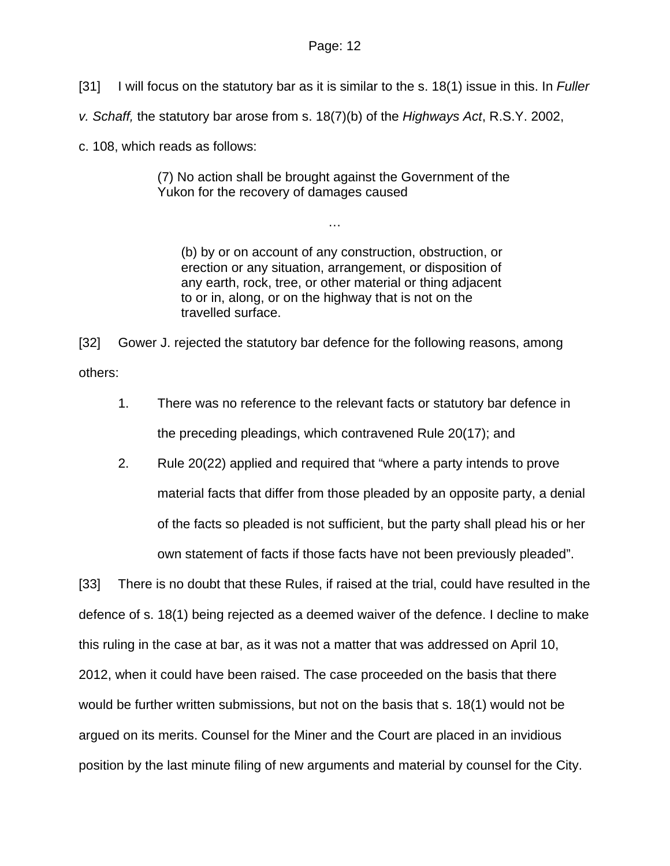- [31] I will focus on the statutory bar as it is similar to the s. 18(1) issue in this. In *Fuller*
- *v. Schaff,* the statutory bar arose from s. 18(7)(b) of the *Highways Act*, R.S.Y. 2002,

c. 108, which reads as follows:

(7) No action shall be brought against the Government of the Yukon for the recovery of damages caused

…

(b) by or on account of any construction, obstruction, or erection or any situation, arrangement, or disposition of any earth, rock, tree, or other material or thing adjacent to or in, along, or on the highway that is not on the travelled surface.

[32] Gower J. rejected the statutory bar defence for the following reasons, among others:

- 1. There was no reference to the relevant facts or statutory bar defence in the preceding pleadings, which contravened Rule 20(17); and
- 2. Rule 20(22) applied and required that "where a party intends to prove material facts that differ from those pleaded by an opposite party, a denial of the facts so pleaded is not sufficient, but the party shall plead his or her own statement of facts if those facts have not been previously pleaded".

[33] There is no doubt that these Rules, if raised at the trial, could have resulted in the defence of s. 18(1) being rejected as a deemed waiver of the defence. I decline to make this ruling in the case at bar, as it was not a matter that was addressed on April 10, 2012, when it could have been raised. The case proceeded on the basis that there would be further written submissions, but not on the basis that s. 18(1) would not be argued on its merits. Counsel for the Miner and the Court are placed in an invidious position by the last minute filing of new arguments and material by counsel for the City.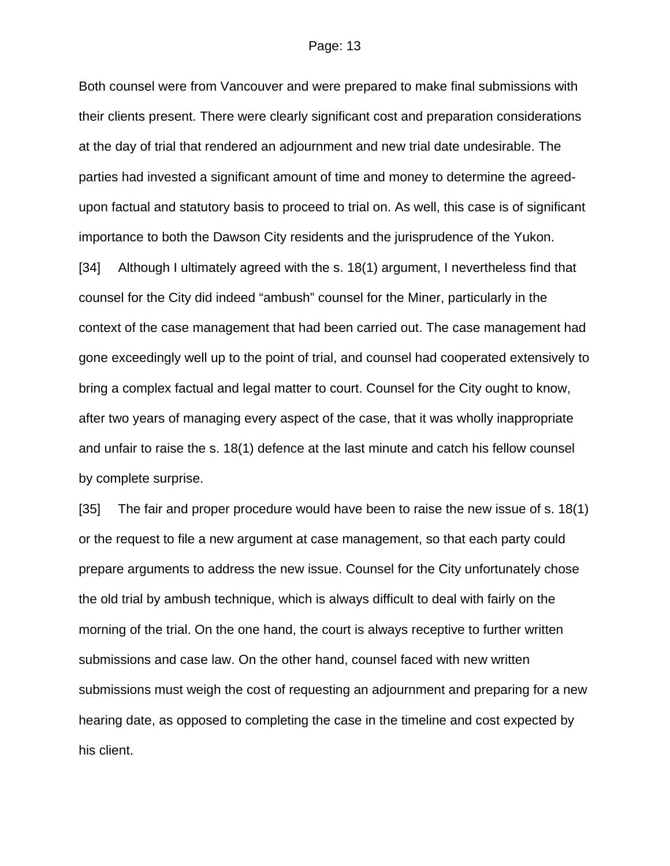Both counsel were from Vancouver and were prepared to make final submissions with their clients present. There were clearly significant cost and preparation considerations at the day of trial that rendered an adjournment and new trial date undesirable. The parties had invested a significant amount of time and money to determine the agreedupon factual and statutory basis to proceed to trial on. As well, this case is of significant importance to both the Dawson City residents and the jurisprudence of the Yukon.

[34] Although I ultimately agreed with the s. 18(1) argument, I nevertheless find that counsel for the City did indeed "ambush" counsel for the Miner, particularly in the context of the case management that had been carried out. The case management had gone exceedingly well up to the point of trial, and counsel had cooperated extensively to bring a complex factual and legal matter to court. Counsel for the City ought to know, after two years of managing every aspect of the case, that it was wholly inappropriate and unfair to raise the s. 18(1) defence at the last minute and catch his fellow counsel by complete surprise.

[35] The fair and proper procedure would have been to raise the new issue of s. 18(1) or the request to file a new argument at case management, so that each party could prepare arguments to address the new issue. Counsel for the City unfortunately chose the old trial by ambush technique, which is always difficult to deal with fairly on the morning of the trial. On the one hand, the court is always receptive to further written submissions and case law. On the other hand, counsel faced with new written submissions must weigh the cost of requesting an adjournment and preparing for a new hearing date, as opposed to completing the case in the timeline and cost expected by his client.